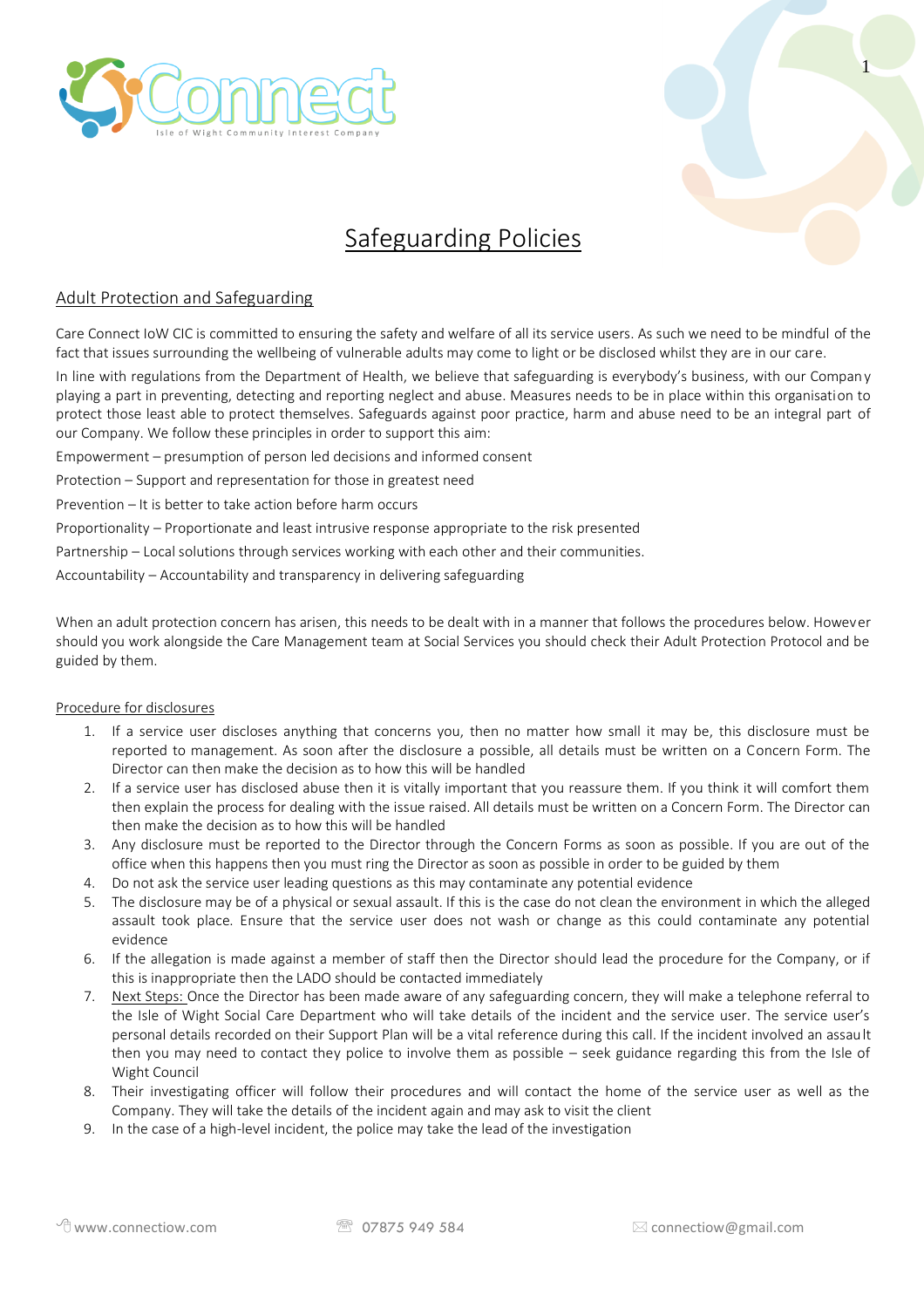



# Safeguarding Policies

# Adult Protection and Safeguarding

Care Connect IoW CIC is committed to ensuring the safety and welfare of all its service users. As such we need to be mindful of the fact that issues surrounding the wellbeing of vulnerable adults may come to light or be disclosed whilst they are in our care.

In line with regulations from the Department of Health, we believe that safeguarding is everybody's business, with our Company playing a part in preventing, detecting and reporting neglect and abuse. Measures needs to be in place within this organisation to protect those least able to protect themselves. Safeguards against poor practice, harm and abuse need to be an integral part of our Company. We follow these principles in order to support this aim:

Empowerment – presumption of person led decisions and informed consent

Protection – Support and representation for those in greatest need

Prevention – It is better to take action before harm occurs

Proportionality – Proportionate and least intrusive response appropriate to the risk presented

Partnership – Local solutions through services working with each other and their communities.

Accountability – Accountability and transparency in delivering safeguarding

When an adult protection concern has arisen, this needs to be dealt with in a manner that follows the procedures below. However should you work alongside the Care Management team at Social Services you should check their Adult Protection Protocol and be guided by them.

## Procedure for disclosures

- 1. If a service user discloses anything that concerns you, then no matter how small it may be, this disclosure must be reported to management. As soon after the disclosure a possible, all details must be written on a Concern Form. The Director can then make the decision as to how this will be handled
- 2. If a service user has disclosed abuse then it is vitally important that you reassure them. If you think it will comfort them then explain the process for dealing with the issue raised. All details must be written on a Concern Form. The Director can then make the decision as to how this will be handled
- 3. Any disclosure must be reported to the Director through the Concern Forms as soon as possible. If you are out of the office when this happens then you must ring the Director as soon as possible in order to be guided by them
- 4. Do not ask the service user leading questions as this may contaminate any potential evidence
- 5. The disclosure may be of a physical or sexual assault. If this is the case do not clean the environment in which the alleged assault took place. Ensure that the service user does not wash or change as this could contaminate any potential evidence
- 6. If the allegation is made against a member of staff then the Director should lead the procedure for the Company, or if this is inappropriate then the LADO should be contacted immediately
- 7. Next Steps: Once the Director has been made aware of any safeguarding concern, they will make a telephone referral to the Isle of Wight Social Care Department who will take details of the incident and the service user. The service user's personal details recorded on their Support Plan will be a vital reference during this call. If the incident involved an assault then you may need to contact they police to involve them as possible – seek guidance regarding this from the Isle of Wight Council
- 8. Their investigating officer will follow their procedures and will contact the home of the service user as well as the Company. They will take the details of the incident again and may ask to visit the client
- 9. In the case of a high-level incident, the police may take the lead of the investigation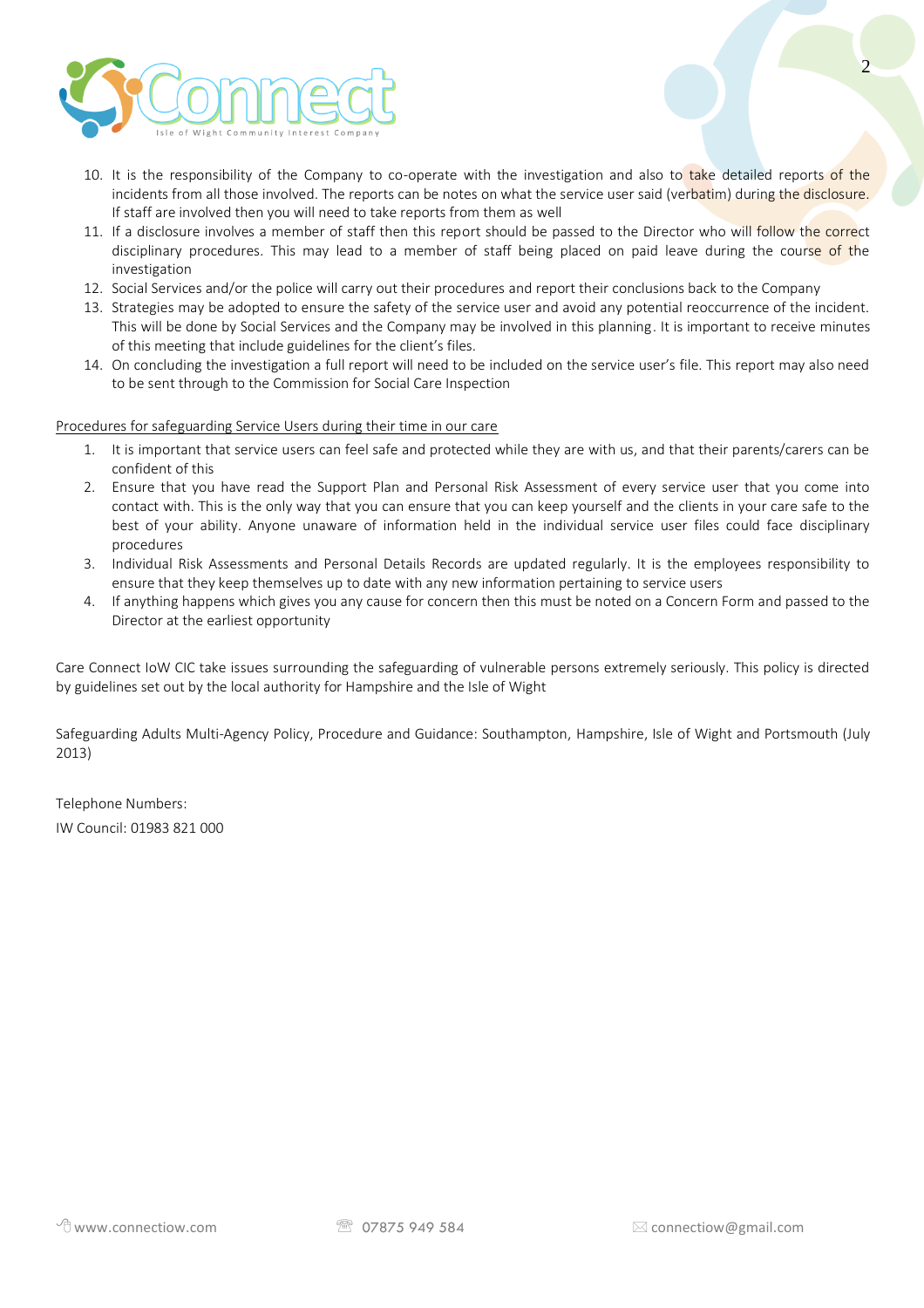

- 10. It is the responsibility of the Company to co-operate with the investigation and also to take detailed reports of the incidents from all those involved. The reports can be notes on what the service user said (verbatim) during the disclosure. If staff are involved then you will need to take reports from them as well
- 11. If a disclosure involves a member of staff then this report should be passed to the Director who will follow the correct disciplinary procedures. This may lead to a member of staff being placed on paid leave during the course of the investigation
- 12. Social Services and/or the police will carry out their procedures and report their conclusions back to the Company
- 13. Strategies may be adopted to ensure the safety of the service user and avoid any potential reoccurrence of the incident. This will be done by Social Services and the Company may be involved in this planning. It is important to receive minutes of this meeting that include guidelines for the client's files.
- 14. On concluding the investigation a full report will need to be included on the service user's file. This report may also need to be sent through to the Commission for Social Care Inspection

#### Procedures for safeguarding Service Users during their time in our care

- 1. It is important that service users can feel safe and protected while they are with us, and that their parents/carers can be confident of this
- 2. Ensure that you have read the Support Plan and Personal Risk Assessment of every service user that you come into contact with. This is the only way that you can ensure that you can keep yourself and the clients in your care safe to the best of your ability. Anyone unaware of information held in the individual service user files could face disciplinary procedures
- 3. Individual Risk Assessments and Personal Details Records are updated regularly. It is the employees responsibility to ensure that they keep themselves up to date with any new information pertaining to service users
- 4. If anything happens which gives you any cause for concern then this must be noted on a Concern Form and passed to the Director at the earliest opportunity

Care Connect IoW CIC take issues surrounding the safeguarding of vulnerable persons extremely seriously. This policy is directed by guidelines set out by the local authority for Hampshire and the Isle of Wight

Safeguarding Adults Multi-Agency Policy, Procedure and Guidance: Southampton, Hampshire, Isle of Wight and Portsmouth (July 2013)

Telephone Numbers: IW Council: 01983 821 000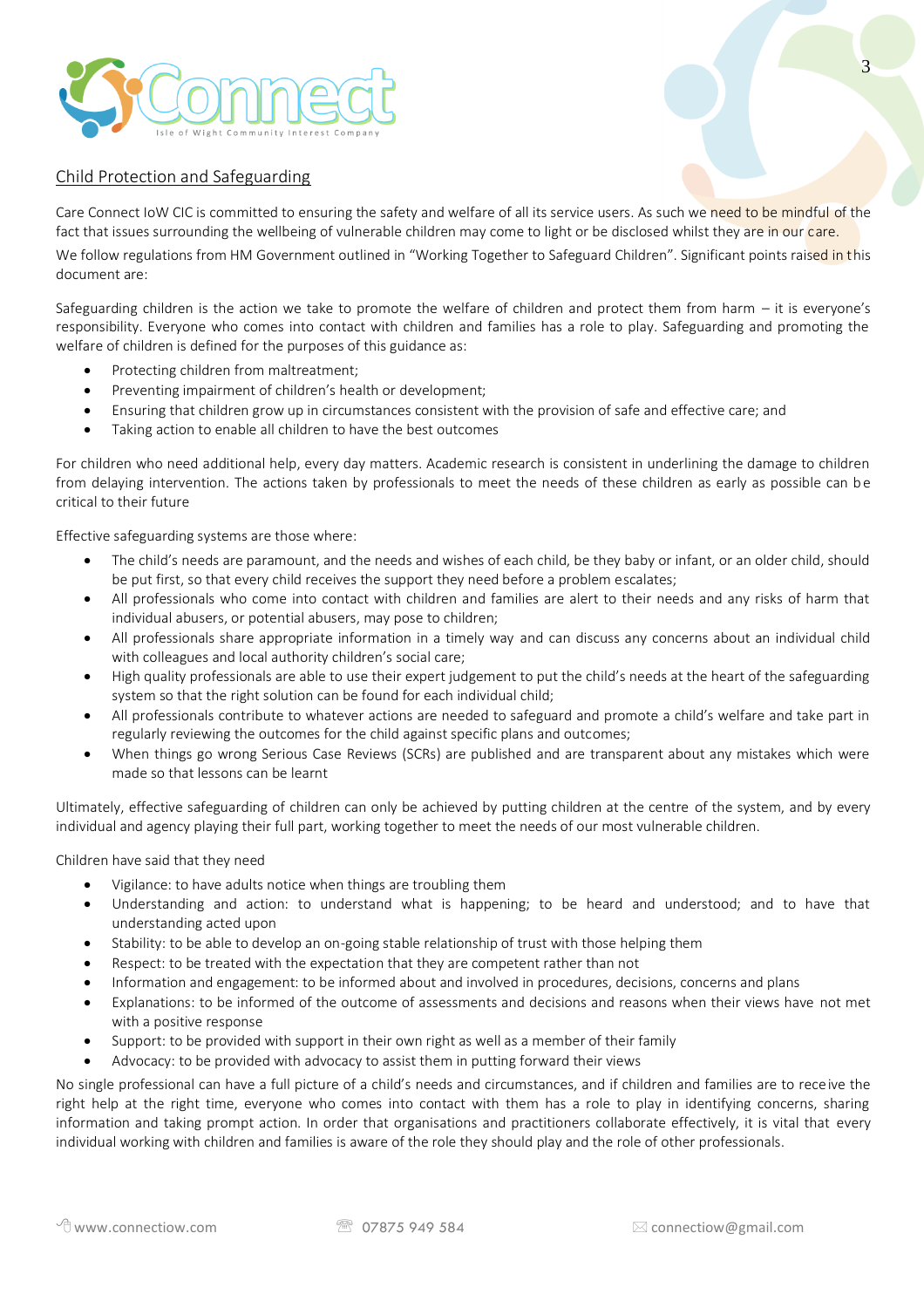

## Child Protection and Safeguarding

Care Connect IoW CIC is committed to ensuring the safety and welfare of all its service users. As such we need to be mindful of the fact that issues surrounding the wellbeing of vulnerable children may come to light or be disclosed whilst they are in our care.

We follow regulations from HM Government outlined in "Working Together to Safeguard Children". Significant points raised in this document are:

Safeguarding children is the action we take to promote the welfare of children and protect them from harm – it is everyone's responsibility. Everyone who comes into contact with children and families has a role to play. Safeguarding and promoting the welfare of children is defined for the purposes of this guidance as:

- Protecting children from maltreatment;
- Preventing impairment of children's health or development;
- Ensuring that children grow up in circumstances consistent with the provision of safe and effective care; and
- Taking action to enable all children to have the best outcomes

For children who need additional help, every day matters. Academic research is consistent in underlining the damage to children from delaying intervention. The actions taken by professionals to meet the needs of these children as early as possible can be critical to their future

Effective safeguarding systems are those where:

- The child's needs are paramount, and the needs and wishes of each child, be they baby or infant, or an older child, should be put first, so that every child receives the support they need before a problem escalates;
- All professionals who come into contact with children and families are alert to their needs and any risks of harm that individual abusers, or potential abusers, may pose to children;
- All professionals share appropriate information in a timely way and can discuss any concerns about an individual child with colleagues and local authority children's social care;
- High quality professionals are able to use their expert judgement to put the child's needs at the heart of the safeguarding system so that the right solution can be found for each individual child;
- All professionals contribute to whatever actions are needed to safeguard and promote a child's welfare and take part in regularly reviewing the outcomes for the child against specific plans and outcomes;
- When things go wrong Serious Case Reviews (SCRs) are published and are transparent about any mistakes which were made so that lessons can be learnt

Ultimately, effective safeguarding of children can only be achieved by putting children at the centre of the system, and by every individual and agency playing their full part, working together to meet the needs of our most vulnerable children.

Children have said that they need

- Vigilance: to have adults notice when things are troubling them
- Understanding and action: to understand what is happening; to be heard and understood; and to have that understanding acted upon
- Stability: to be able to develop an on-going stable relationship of trust with those helping them
- Respect: to be treated with the expectation that they are competent rather than not
- Information and engagement: to be informed about and involved in procedures, decisions, concerns and plans
- Explanations: to be informed of the outcome of assessments and decisions and reasons when their views have not met with a positive response
- Support: to be provided with support in their own right as well as a member of their family
- Advocacy: to be provided with advocacy to assist them in putting forward their views

No single professional can have a full picture of a child's needs and circumstances, and if children and families are to receive the right help at the right time, everyone who comes into contact with them has a role to play in identifying concerns, sharing information and taking prompt action. In order that organisations and practitioners collaborate effectively, it is vital that every individual working with children and families is aware of the role they should play and the role of other professionals.